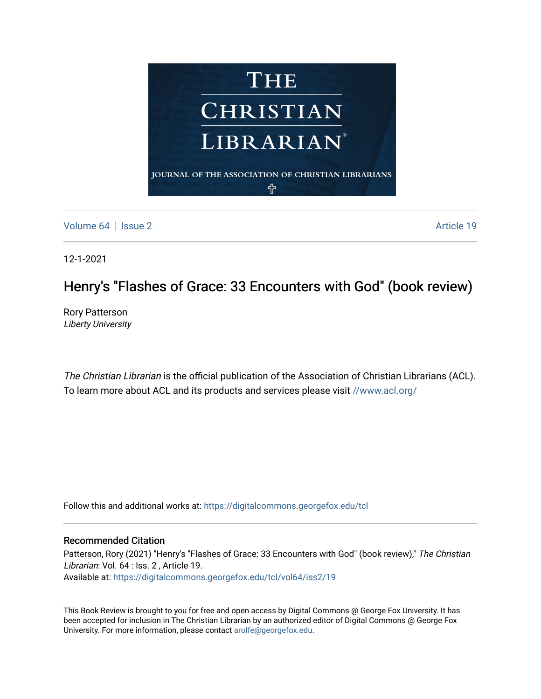

[Volume 64](https://digitalcommons.georgefox.edu/tcl/vol64) | [Issue 2](https://digitalcommons.georgefox.edu/tcl/vol64/iss2) Article 19

12-1-2021

## Henry's "Flashes of Grace: 33 Encounters with God" (book review)

Rory Patterson Liberty University

The Christian Librarian is the official publication of the Association of Christian Librarians (ACL). To learn more about ACL and its products and services please visit [//www.acl.org/](/www.acl.org/)

Follow this and additional works at: [https://digitalcommons.georgefox.edu/tcl](https://digitalcommons.georgefox.edu/tcl?utm_source=digitalcommons.georgefox.edu%2Ftcl%2Fvol64%2Fiss2%2F19&utm_medium=PDF&utm_campaign=PDFCoverPages) 

## Recommended Citation

Patterson, Rory (2021) "Henry's "Flashes of Grace: 33 Encounters with God" (book review)," The Christian Librarian: Vol. 64 : Iss. 2 , Article 19. Available at: [https://digitalcommons.georgefox.edu/tcl/vol64/iss2/19](https://digitalcommons.georgefox.edu/tcl/vol64/iss2/19?utm_source=digitalcommons.georgefox.edu%2Ftcl%2Fvol64%2Fiss2%2F19&utm_medium=PDF&utm_campaign=PDFCoverPages)

This Book Review is brought to you for free and open access by Digital Commons @ George Fox University. It has been accepted for inclusion in The Christian Librarian by an authorized editor of Digital Commons @ George Fox University. For more information, please contact [arolfe@georgefox.edu.](mailto:arolfe@georgefox.edu)